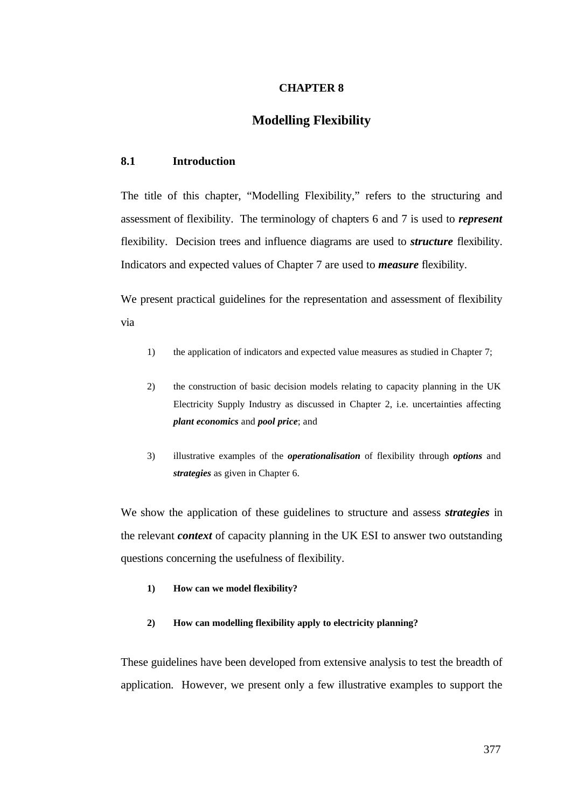### **CHAPTER 8**

# **Modelling Flexibility**

#### **8.1 Introduction**

The title of this chapter, "Modelling Flexibility," refers to the structuring and assessment of flexibility. The terminology of chapters 6 and 7 is used to *represent* flexibility. Decision trees and influence diagrams are used to *structure* flexibility. Indicators and expected values of Chapter 7 are used to *measure* flexibility.

We present practical guidelines for the representation and assessment of flexibility via

- 1) the application of indicators and expected value measures as studied in Chapter 7;
- 2) the construction of basic decision models relating to capacity planning in the UK Electricity Supply Industry as discussed in Chapter 2, i.e. uncertainties affecting *plant economics* and *pool price*; and
- 3) illustrative examples of the *operationalisation* of flexibility through *options* and *strategies* as given in Chapter 6.

We show the application of these guidelines to structure and assess *strategies* in the relevant *context* of capacity planning in the UK ESI to answer two outstanding questions concerning the usefulness of flexibility.

- **1) How can we model flexibility?**
- **2) How can modelling flexibility apply to electricity planning?**

These guidelines have been developed from extensive analysis to test the breadth of application. However, we present only a few illustrative examples to support the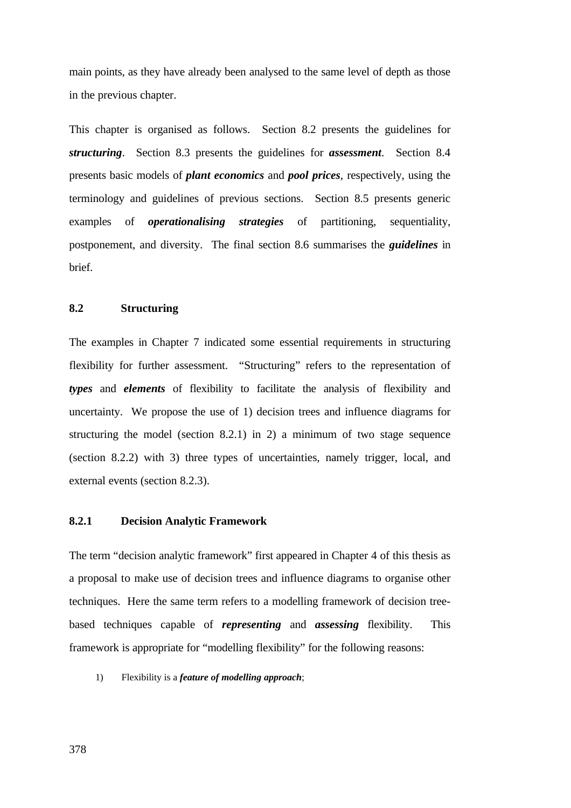main points, as they have already been analysed to the same level of depth as those in the previous chapter.

This chapter is organised as follows. Section 8.2 presents the guidelines for *structuring*. Section 8.3 presents the guidelines for *assessment*. Section 8.4 presents basic models of *plant economics* and *pool prices*, respectively, using the terminology and guidelines of previous sections. Section 8.5 presents generic examples of *operationalising strategies* of partitioning, sequentiality, postponement, and diversity. The final section 8.6 summarises the *guidelines* in brief.

### **8.2 Structuring**

The examples in Chapter 7 indicated some essential requirements in structuring flexibility for further assessment. "Structuring" refers to the representation of *types* and *elements* of flexibility to facilitate the analysis of flexibility and uncertainty. We propose the use of 1) decision trees and influence diagrams for structuring the model (section 8.2.1) in 2) a minimum of two stage sequence (section 8.2.2) with 3) three types of uncertainties, namely trigger, local, and external events (section 8.2.3).

## **8.2.1 Decision Analytic Framework**

The term "decision analytic framework" first appeared in Chapter 4 of this thesis as a proposal to make use of decision trees and influence diagrams to organise other techniques. Here the same term refers to a modelling framework of decision treebased techniques capable of *representing* and *assessing* flexibility. This framework is appropriate for "modelling flexibility" for the following reasons:

1) Flexibility is a *feature of modelling approach*;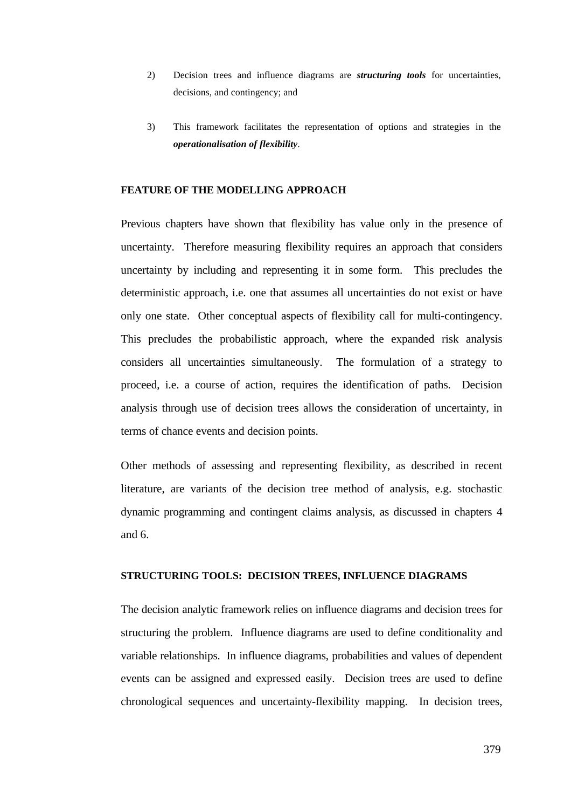- 2) Decision trees and influence diagrams are *structuring tools* for uncertainties, decisions, and contingency; and
- 3) This framework facilitates the representation of options and strategies in the *operationalisation of flexibility*.

#### **FEATURE OF THE MODELLING APPROACH**

Previous chapters have shown that flexibility has value only in the presence of uncertainty. Therefore measuring flexibility requires an approach that considers uncertainty by including and representing it in some form. This precludes the deterministic approach, i.e. one that assumes all uncertainties do not exist or have only one state. Other conceptual aspects of flexibility call for multi-contingency. This precludes the probabilistic approach, where the expanded risk analysis considers all uncertainties simultaneously. The formulation of a strategy to proceed, i.e. a course of action, requires the identification of paths. Decision analysis through use of decision trees allows the consideration of uncertainty, in terms of chance events and decision points.

Other methods of assessing and representing flexibility, as described in recent literature, are variants of the decision tree method of analysis, e.g. stochastic dynamic programming and contingent claims analysis, as discussed in chapters 4 and 6.

## **STRUCTURING TOOLS: DECISION TREES, INFLUENCE DIAGRAMS**

The decision analytic framework relies on influence diagrams and decision trees for structuring the problem. Influence diagrams are used to define conditionality and variable relationships. In influence diagrams, probabilities and values of dependent events can be assigned and expressed easily. Decision trees are used to define chronological sequences and uncertainty-flexibility mapping. In decision trees,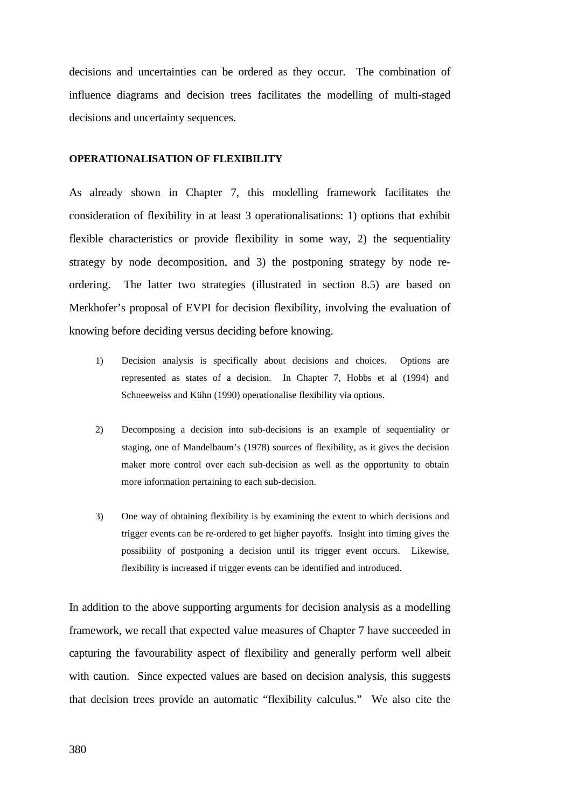decisions and uncertainties can be ordered as they occur. The combination of influence diagrams and decision trees facilitates the modelling of multi-staged decisions and uncertainty sequences.

#### **OPERATIONALISATION OF FLEXIBILITY**

As already shown in Chapter 7, this modelling framework facilitates the consideration of flexibility in at least 3 operationalisations: 1) options that exhibit flexible characteristics or provide flexibility in some way, 2) the sequentiality strategy by node decomposition, and 3) the postponing strategy by node reordering. The latter two strategies (illustrated in section 8.5) are based on Merkhofer's proposal of EVPI for decision flexibility, involving the evaluation of knowing before deciding versus deciding before knowing.

- 1) Decision analysis is specifically about decisions and choices. Options are represented as states of a decision. In Chapter 7, Hobbs et al (1994) and Schneeweiss and Kühn (1990) operationalise flexibility via options.
- 2) Decomposing a decision into sub-decisions is an example of sequentiality or staging, one of Mandelbaum's (1978) sources of flexibility, as it gives the decision maker more control over each sub-decision as well as the opportunity to obtain more information pertaining to each sub-decision.
- 3) One way of obtaining flexibility is by examining the extent to which decisions and trigger events can be re-ordered to get higher payoffs. Insight into timing gives the possibility of postponing a decision until its trigger event occurs. Likewise, flexibility is increased if trigger events can be identified and introduced.

In addition to the above supporting arguments for decision analysis as a modelling framework, we recall that expected value measures of Chapter 7 have succeeded in capturing the favourability aspect of flexibility and generally perform well albeit with caution. Since expected values are based on decision analysis, this suggests that decision trees provide an automatic "flexibility calculus." We also cite the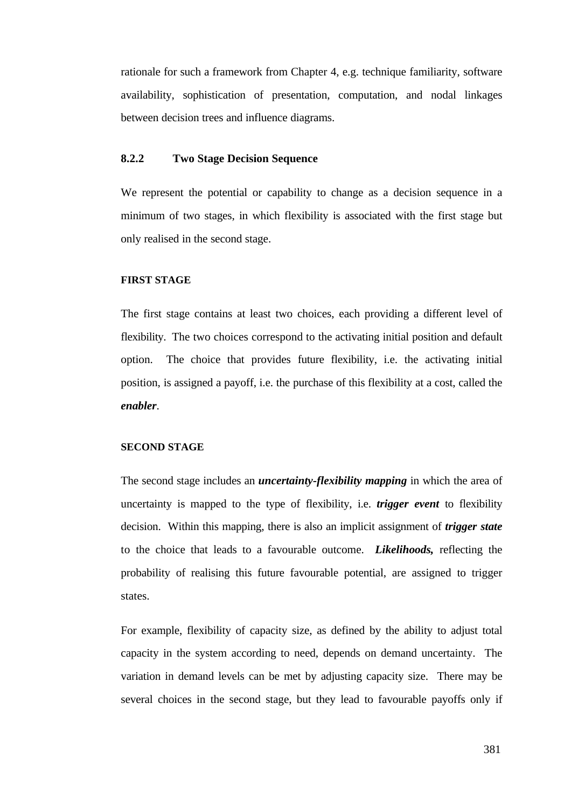rationale for such a framework from Chapter 4, e.g. technique familiarity, software availability, sophistication of presentation, computation, and nodal linkages between decision trees and influence diagrams.

# **8.2.2 Two Stage Decision Sequence**

We represent the potential or capability to change as a decision sequence in a minimum of two stages, in which flexibility is associated with the first stage but only realised in the second stage.

#### **FIRST STAGE**

The first stage contains at least two choices, each providing a different level of flexibility. The two choices correspond to the activating initial position and default option. The choice that provides future flexibility, i.e. the activating initial position, is assigned a payoff, i.e. the purchase of this flexibility at a cost, called the *enabler*.

#### **SECOND STAGE**

The second stage includes an *uncertainty-flexibility mapping* in which the area of uncertainty is mapped to the type of flexibility, i.e. *trigger event* to flexibility decision. Within this mapping, there is also an implicit assignment of *trigger state* to the choice that leads to a favourable outcome. *Likelihoods,* reflecting the probability of realising this future favourable potential, are assigned to trigger states.

For example, flexibility of capacity size, as defined by the ability to adjust total capacity in the system according to need, depends on demand uncertainty. The variation in demand levels can be met by adjusting capacity size. There may be several choices in the second stage, but they lead to favourable payoffs only if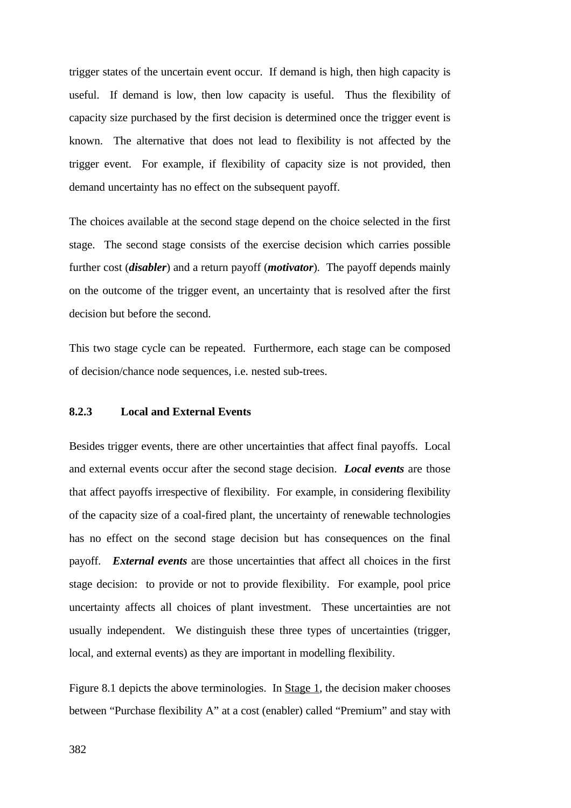trigger states of the uncertain event occur. If demand is high, then high capacity is useful. If demand is low, then low capacity is useful. Thus the flexibility of capacity size purchased by the first decision is determined once the trigger event is known. The alternative that does not lead to flexibility is not affected by the trigger event. For example, if flexibility of capacity size is not provided, then demand uncertainty has no effect on the subsequent payoff.

The choices available at the second stage depend on the choice selected in the first stage. The second stage consists of the exercise decision which carries possible further cost (*disabler*) and a return payoff (*motivator*). The payoff depends mainly on the outcome of the trigger event, an uncertainty that is resolved after the first decision but before the second.

This two stage cycle can be repeated. Furthermore, each stage can be composed of decision/chance node sequences, i.e. nested sub-trees.

#### **8.2.3 Local and External Events**

Besides trigger events, there are other uncertainties that affect final payoffs. Local and external events occur after the second stage decision. *Local events* are those that affect payoffs irrespective of flexibility. For example, in considering flexibility of the capacity size of a coal-fired plant, the uncertainty of renewable technologies has no effect on the second stage decision but has consequences on the final payoff. *External events* are those uncertainties that affect all choices in the first stage decision: to provide or not to provide flexibility. For example, pool price uncertainty affects all choices of plant investment. These uncertainties are not usually independent. We distinguish these three types of uncertainties (trigger, local, and external events) as they are important in modelling flexibility.

Figure 8.1 depicts the above terminologies. In Stage 1, the decision maker chooses between "Purchase flexibility A" at a cost (enabler) called "Premium" and stay with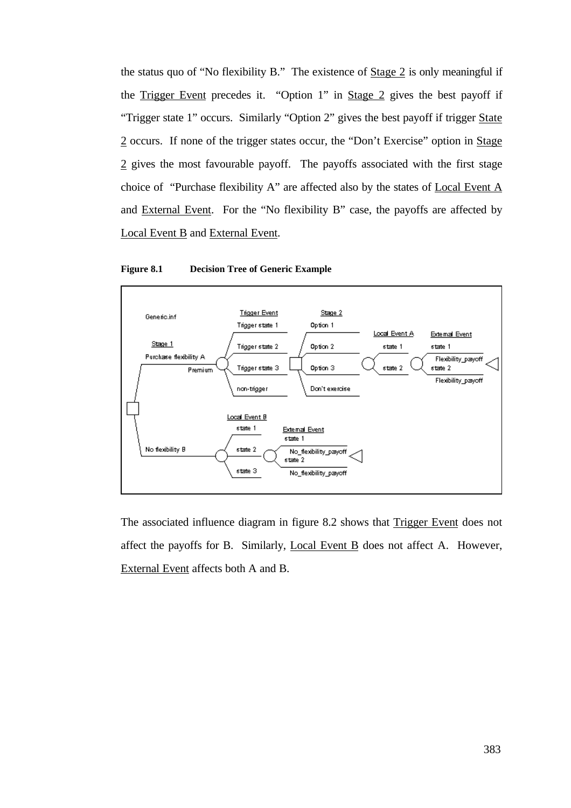the status quo of "No flexibility B." The existence of Stage 2 is only meaningful if the Trigger Event precedes it. "Option 1" in Stage 2 gives the best payoff if "Trigger state 1" occurs. Similarly "Option 2" gives the best payoff if trigger State 2 occurs. If none of the trigger states occur, the "Don't Exercise" option in Stage 2 gives the most favourable payoff. The payoffs associated with the first stage choice of "Purchase flexibility A" are affected also by the states of Local Event A and External Event. For the "No flexibility B" case, the payoffs are affected by Local Event B and External Event.





The associated influence diagram in figure 8.2 shows that Trigger Event does not affect the payoffs for B. Similarly, Local Event B does not affect A. However, External Event affects both A and B.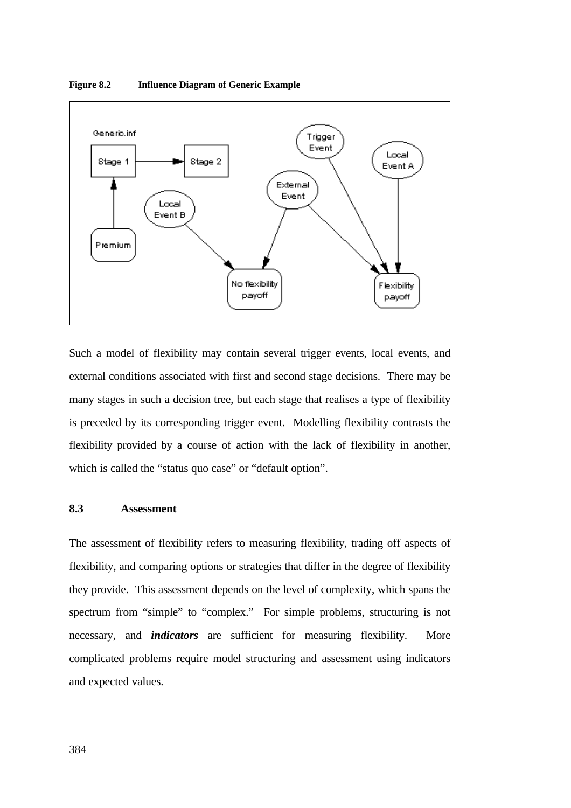

**Figure 8.2 Influence Diagram of Generic Example**

Such a model of flexibility may contain several trigger events, local events, and external conditions associated with first and second stage decisions. There may be many stages in such a decision tree, but each stage that realises a type of flexibility is preceded by its corresponding trigger event. Modelling flexibility contrasts the flexibility provided by a course of action with the lack of flexibility in another, which is called the "status quo case" or "default option".

## **8.3 Assessment**

The assessment of flexibility refers to measuring flexibility, trading off aspects of flexibility, and comparing options or strategies that differ in the degree of flexibility they provide. This assessment depends on the level of complexity, which spans the spectrum from "simple" to "complex." For simple problems, structuring is not necessary, and *indicators* are sufficient for measuring flexibility. More complicated problems require model structuring and assessment using indicators and expected values.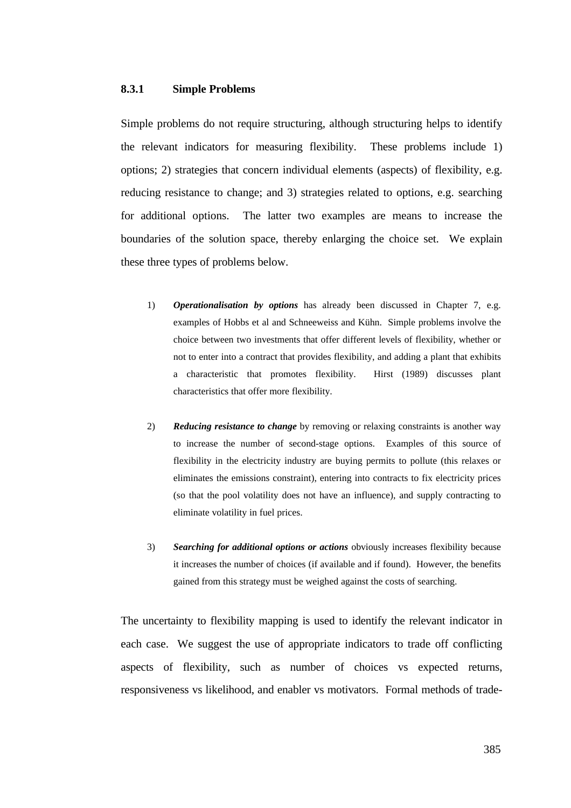#### **8.3.1 Simple Problems**

Simple problems do not require structuring, although structuring helps to identify the relevant indicators for measuring flexibility. These problems include 1) options; 2) strategies that concern individual elements (aspects) of flexibility, e.g. reducing resistance to change; and 3) strategies related to options, e.g. searching for additional options. The latter two examples are means to increase the boundaries of the solution space, thereby enlarging the choice set. We explain these three types of problems below.

- 1) *Operationalisation by options* has already been discussed in Chapter 7, e.g. examples of Hobbs et al and Schneeweiss and Kühn. Simple problems involve the choice between two investments that offer different levels of flexibility, whether or not to enter into a contract that provides flexibility, and adding a plant that exhibits a characteristic that promotes flexibility. Hirst (1989) discusses plant characteristics that offer more flexibility.
- 2) *Reducing resistance to change* by removing or relaxing constraints is another way to increase the number of second-stage options. Examples of this source of flexibility in the electricity industry are buying permits to pollute (this relaxes or eliminates the emissions constraint), entering into contracts to fix electricity prices (so that the pool volatility does not have an influence), and supply contracting to eliminate volatility in fuel prices.
- 3) *Searching for additional options or actions* obviously increases flexibility because it increases the number of choices (if available and if found). However, the benefits gained from this strategy must be weighed against the costs of searching.

The uncertainty to flexibility mapping is used to identify the relevant indicator in each case. We suggest the use of appropriate indicators to trade off conflicting aspects of flexibility, such as number of choices vs expected returns, responsiveness vs likelihood, and enabler vs motivators. Formal methods of trade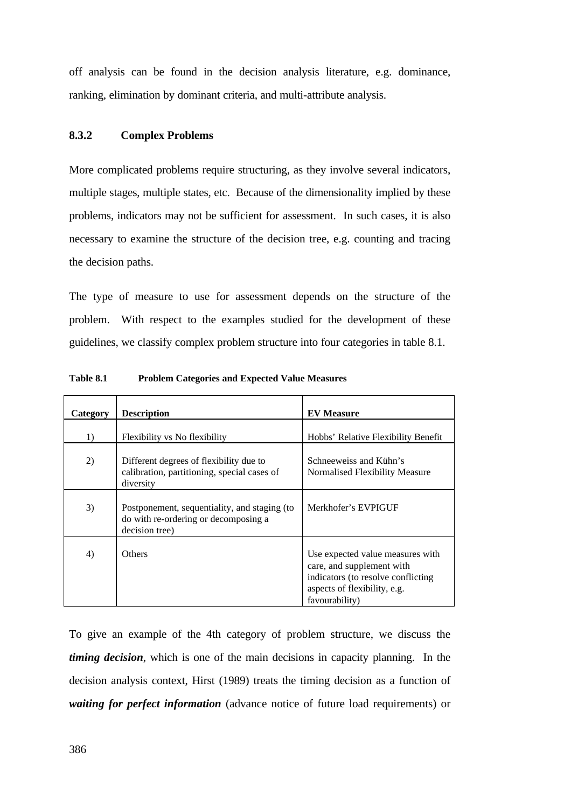off analysis can be found in the decision analysis literature, e.g. dominance, ranking, elimination by dominant criteria, and multi-attribute analysis.

# **8.3.2 Complex Problems**

More complicated problems require structuring, as they involve several indicators, multiple stages, multiple states, etc. Because of the dimensionality implied by these problems, indicators may not be sufficient for assessment. In such cases, it is also necessary to examine the structure of the decision tree, e.g. counting and tracing the decision paths.

The type of measure to use for assessment depends on the structure of the problem. With respect to the examples studied for the development of these guidelines, we classify complex problem structure into four categories in table 8.1.

| Category | <b>Description</b>                                                                                     | <b>EV</b> Measure                                                                                                                                     |
|----------|--------------------------------------------------------------------------------------------------------|-------------------------------------------------------------------------------------------------------------------------------------------------------|
| 1)       | Flexibility vs No flexibility                                                                          | Hobbs' Relative Flexibility Benefit                                                                                                                   |
| 2)       | Different degrees of flexibility due to<br>calibration, partitioning, special cases of<br>diversity    | Schneeweiss and Kühn's<br>Normalised Flexibility Measure                                                                                              |
| 3)       | Postponement, sequentiality, and staging (to<br>do with re-ordering or decomposing a<br>decision tree) | Merkhofer's EVPIGUF                                                                                                                                   |
| 4)       | <b>Others</b>                                                                                          | Use expected value measures with<br>care, and supplement with<br>indicators (to resolve conflicting<br>aspects of flexibility, e.g.<br>favourability) |

**Table 8.1 Problem Categories and Expected Value Measures**

To give an example of the 4th category of problem structure, we discuss the *timing decision*, which is one of the main decisions in capacity planning. In the decision analysis context, Hirst (1989) treats the timing decision as a function of *waiting for perfect information* (advance notice of future load requirements) or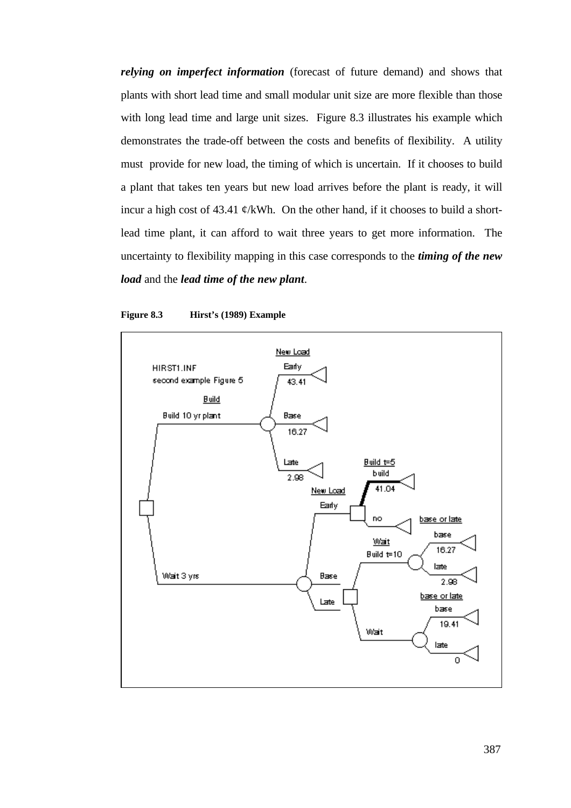*relying on imperfect information* (forecast of future demand) and shows that plants with short lead time and small modular unit size are more flexible than those with long lead time and large unit sizes. Figure 8.3 illustrates his example which demonstrates the trade-off between the costs and benefits of flexibility. A utility must provide for new load, the timing of which is uncertain. If it chooses to build a plant that takes ten years but new load arrives before the plant is ready, it will incur a high cost of 43.41  $\phi$ /kWh. On the other hand, if it chooses to build a shortlead time plant, it can afford to wait three years to get more information. The uncertainty to flexibility mapping in this case corresponds to the *timing of the new load* and the *lead time of the new plant*.



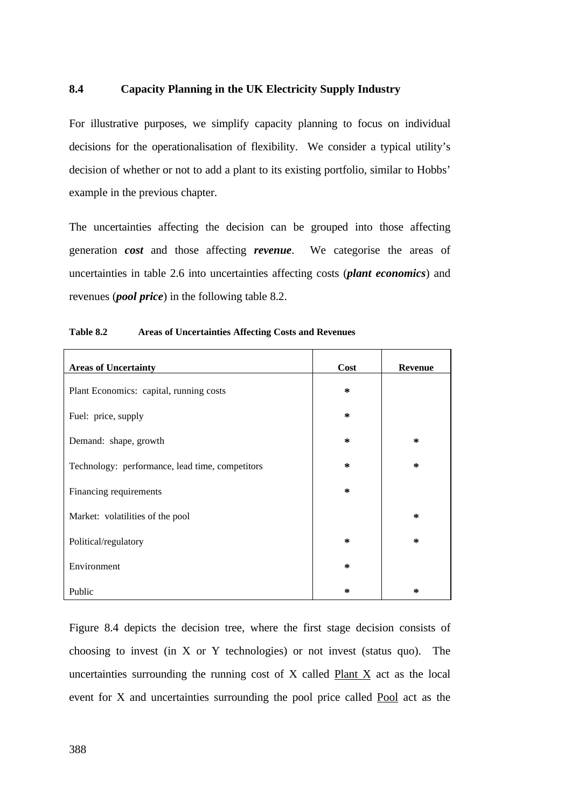# **8.4 Capacity Planning in the UK Electricity Supply Industry**

For illustrative purposes, we simplify capacity planning to focus on individual decisions for the operationalisation of flexibility. We consider a typical utility's decision of whether or not to add a plant to its existing portfolio, similar to Hobbs' example in the previous chapter.

The uncertainties affecting the decision can be grouped into those affecting generation *cost* and those affecting *revenue*. We categorise the areas of uncertainties in table 2.6 into uncertainties affecting costs (*plant economics*) and revenues (*pool price*) in the following table 8.2.

| <b>Areas of Uncertainty</b>                     | <b>Cost</b> | <b>Revenue</b> |
|-------------------------------------------------|-------------|----------------|
| Plant Economics: capital, running costs         | $\ast$      |                |
| Fuel: price, supply                             | ∗           |                |
| Demand: shape, growth                           | $\ast$      | ∗              |
| Technology: performance, lead time, competitors | ∗           | ∗              |
| Financing requirements                          | ∗           |                |
| Market: volatilities of the pool                |             | ∗              |
| Political/regulatory                            | $\ast$      | ∗              |
| Environment                                     | ∗           |                |
| Public                                          | ∗           | ∗              |

Figure 8.4 depicts the decision tree, where the first stage decision consists of choosing to invest (in X or Y technologies) or not invest (status quo). The uncertainties surrounding the running cost of X called Plant X act as the local event for X and uncertainties surrounding the pool price called Pool act as the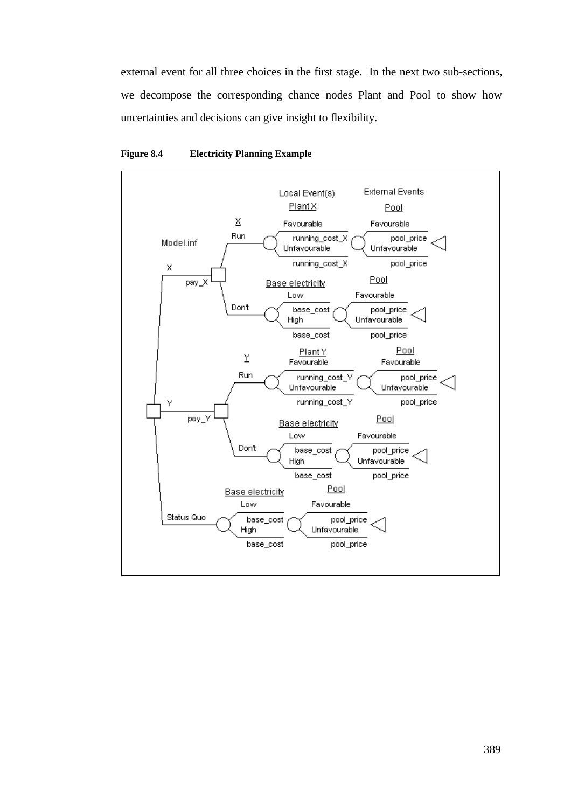external event for all three choices in the first stage. In the next two sub-sections, we decompose the corresponding chance nodes Plant and Pool to show how uncertainties and decisions can give insight to flexibility.



#### **Figure 8.4 Electricity Planning Example**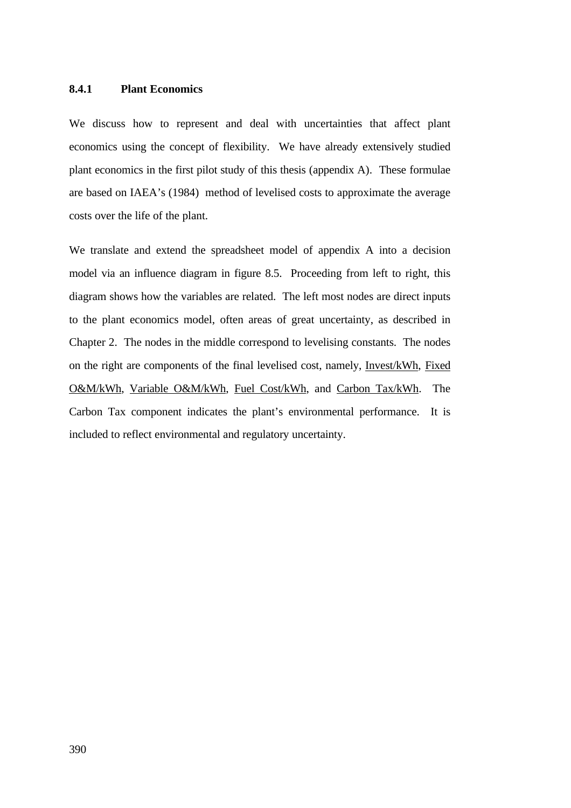## **8.4.1 Plant Economics**

We discuss how to represent and deal with uncertainties that affect plant economics using the concept of flexibility. We have already extensively studied plant economics in the first pilot study of this thesis (appendix A). These formulae are based on IAEA's (1984) method of levelised costs to approximate the average costs over the life of the plant.

We translate and extend the spreadsheet model of appendix A into a decision model via an influence diagram in figure 8.5. Proceeding from left to right, this diagram shows how the variables are related. The left most nodes are direct inputs to the plant economics model, often areas of great uncertainty, as described in Chapter 2. The nodes in the middle correspond to levelising constants. The nodes on the right are components of the final levelised cost, namely, Invest/kWh, Fixed O&M/kWh, Variable O&M/kWh, Fuel Cost/kWh, and Carbon Tax/kWh. The Carbon Tax component indicates the plant's environmental performance. It is included to reflect environmental and regulatory uncertainty.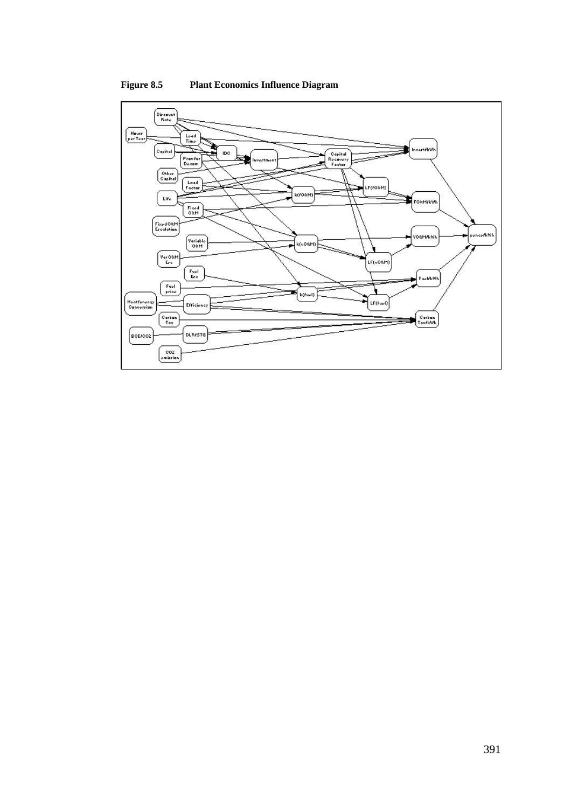

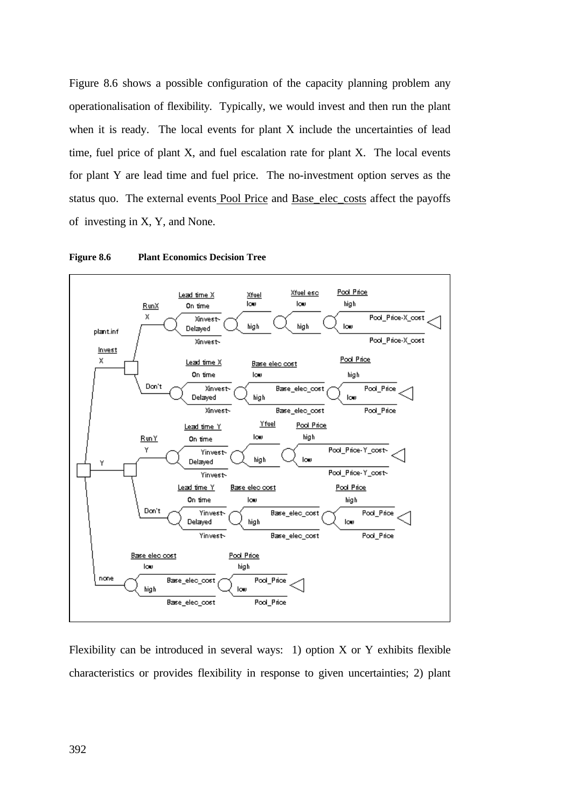Figure 8.6 shows a possible configuration of the capacity planning problem any operationalisation of flexibility. Typically, we would invest and then run the plant when it is ready. The local events for plant X include the uncertainties of lead time, fuel price of plant X, and fuel escalation rate for plant X. The local events for plant Y are lead time and fuel price. The no-investment option serves as the status quo. The external events Pool Price and Base\_elec\_costs affect the payoffs of investing in X, Y, and None.





Flexibility can be introduced in several ways: 1) option  $X$  or  $Y$  exhibits flexible characteristics or provides flexibility in response to given uncertainties; 2) plant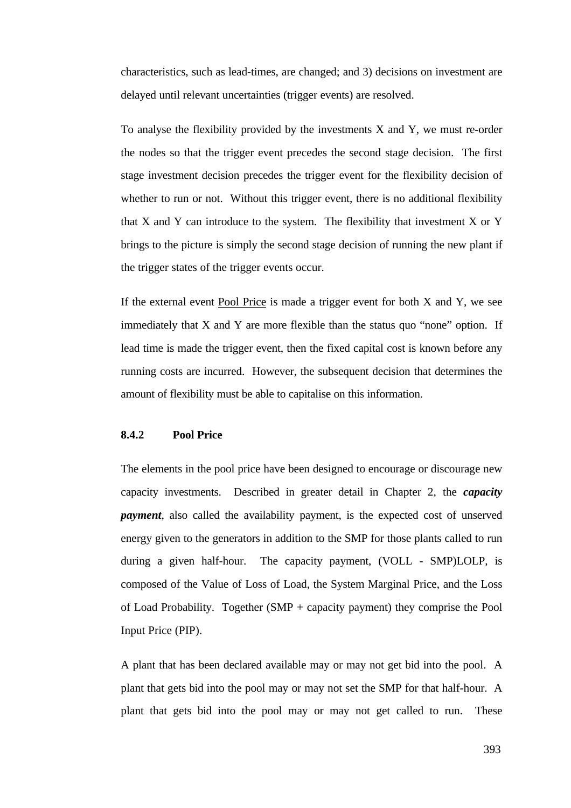characteristics, such as lead-times, are changed; and 3) decisions on investment are delayed until relevant uncertainties (trigger events) are resolved.

To analyse the flexibility provided by the investments X and Y, we must re-order the nodes so that the trigger event precedes the second stage decision. The first stage investment decision precedes the trigger event for the flexibility decision of whether to run or not. Without this trigger event, there is no additional flexibility that  $X$  and  $Y$  can introduce to the system. The flexibility that investment  $X$  or  $Y$ brings to the picture is simply the second stage decision of running the new plant if the trigger states of the trigger events occur.

If the external event Pool Price is made a trigger event for both X and Y, we see immediately that X and Y are more flexible than the status quo "none" option. If lead time is made the trigger event, then the fixed capital cost is known before any running costs are incurred. However, the subsequent decision that determines the amount of flexibility must be able to capitalise on this information.

# **8.4.2 Pool Price**

The elements in the pool price have been designed to encourage or discourage new capacity investments. Described in greater detail in Chapter 2, the *capacity payment*, also called the availability payment, is the expected cost of unserved energy given to the generators in addition to the SMP for those plants called to run during a given half-hour. The capacity payment, (VOLL - SMP)LOLP, is composed of the Value of Loss of Load, the System Marginal Price, and the Loss of Load Probability. Together (SMP + capacity payment) they comprise the Pool Input Price (PIP).

A plant that has been declared available may or may not get bid into the pool. A plant that gets bid into the pool may or may not set the SMP for that half-hour. A plant that gets bid into the pool may or may not get called to run. These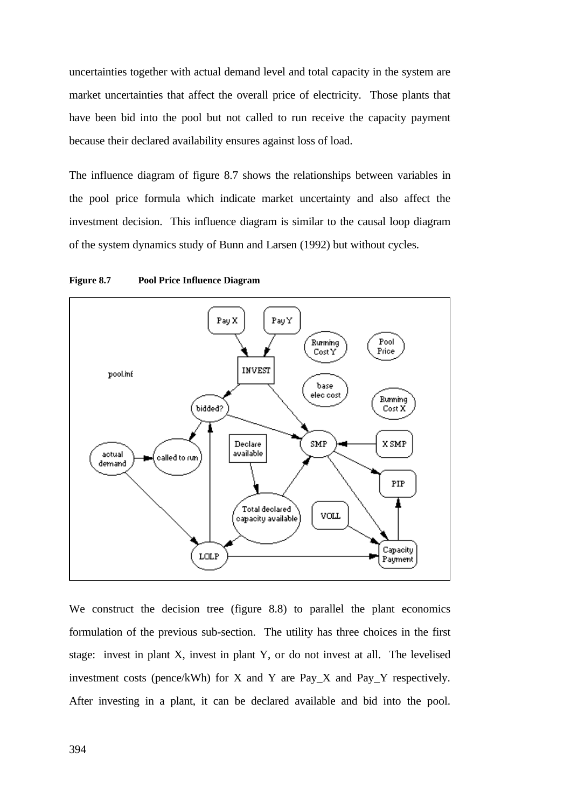uncertainties together with actual demand level and total capacity in the system are market uncertainties that affect the overall price of electricity. Those plants that have been bid into the pool but not called to run receive the capacity payment because their declared availability ensures against loss of load.

The influence diagram of figure 8.7 shows the relationships between variables in the pool price formula which indicate market uncertainty and also affect the investment decision. This influence diagram is similar to the causal loop diagram of the system dynamics study of Bunn and Larsen (1992) but without cycles.



**Figure 8.7 Pool Price Influence Diagram**

We construct the decision tree (figure 8.8) to parallel the plant economics formulation of the previous sub-section. The utility has three choices in the first stage: invest in plant X, invest in plant Y, or do not invest at all. The levelised investment costs (pence/kWh) for X and Y are Pay\_X and Pay\_Y respectively. After investing in a plant, it can be declared available and bid into the pool.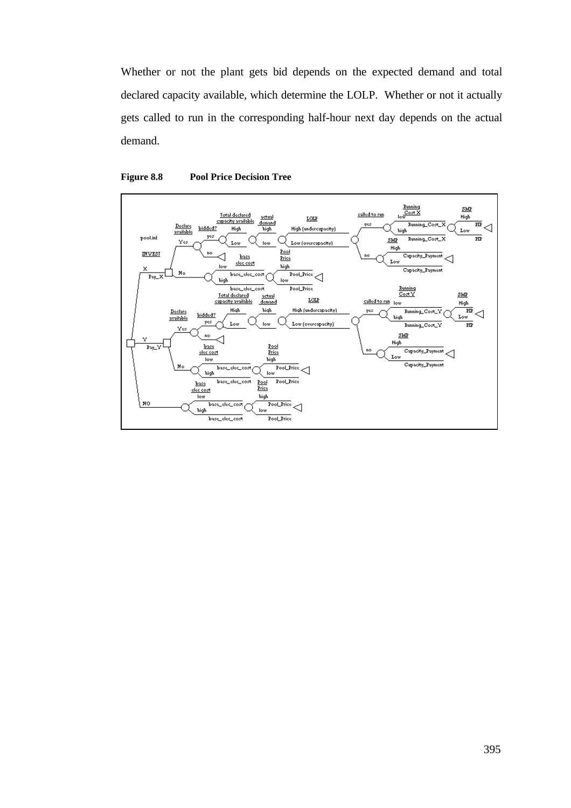Whether or not the plant gets bid depends on the expected demand and total declared capacity available, which determine the LOLP. Whether or not it actually gets called to run in the corresponding half-hour next day depends on the actual demand.



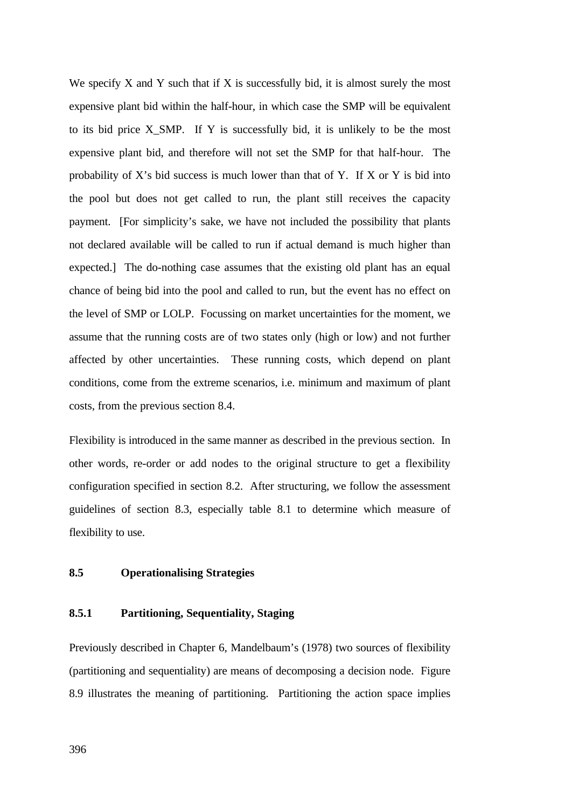We specify  $X$  and  $Y$  such that if  $X$  is successfully bid, it is almost surely the most expensive plant bid within the half-hour, in which case the SMP will be equivalent to its bid price X\_SMP. If Y is successfully bid, it is unlikely to be the most expensive plant bid, and therefore will not set the SMP for that half-hour. The probability of X's bid success is much lower than that of Y. If X or Y is bid into the pool but does not get called to run, the plant still receives the capacity payment. [For simplicity's sake, we have not included the possibility that plants not declared available will be called to run if actual demand is much higher than expected.] The do-nothing case assumes that the existing old plant has an equal chance of being bid into the pool and called to run, but the event has no effect on the level of SMP or LOLP. Focussing on market uncertainties for the moment, we assume that the running costs are of two states only (high or low) and not further affected by other uncertainties. These running costs, which depend on plant conditions, come from the extreme scenarios, i.e. minimum and maximum of plant costs, from the previous section 8.4.

Flexibility is introduced in the same manner as described in the previous section. In other words, re-order or add nodes to the original structure to get a flexibility configuration specified in section 8.2. After structuring, we follow the assessment guidelines of section 8.3, especially table 8.1 to determine which measure of flexibility to use.

# **8.5 Operationalising Strategies**

# **8.5.1 Partitioning, Sequentiality, Staging**

Previously described in Chapter 6, Mandelbaum's (1978) two sources of flexibility (partitioning and sequentiality) are means of decomposing a decision node. Figure 8.9 illustrates the meaning of partitioning. Partitioning the action space implies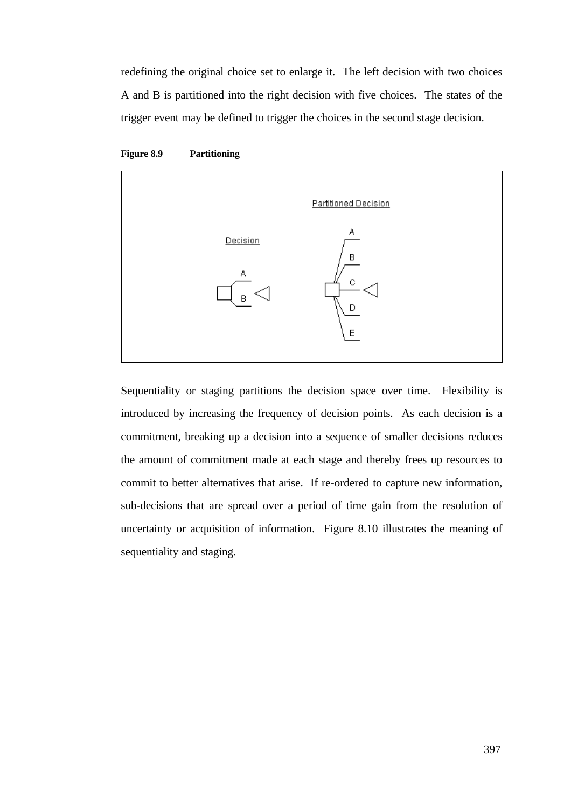redefining the original choice set to enlarge it. The left decision with two choices A and B is partitioned into the right decision with five choices. The states of the trigger event may be defined to trigger the choices in the second stage decision.





Sequentiality or staging partitions the decision space over time. Flexibility is introduced by increasing the frequency of decision points. As each decision is a commitment, breaking up a decision into a sequence of smaller decisions reduces the amount of commitment made at each stage and thereby frees up resources to commit to better alternatives that arise. If re-ordered to capture new information, sub-decisions that are spread over a period of time gain from the resolution of uncertainty or acquisition of information. Figure 8.10 illustrates the meaning of sequentiality and staging.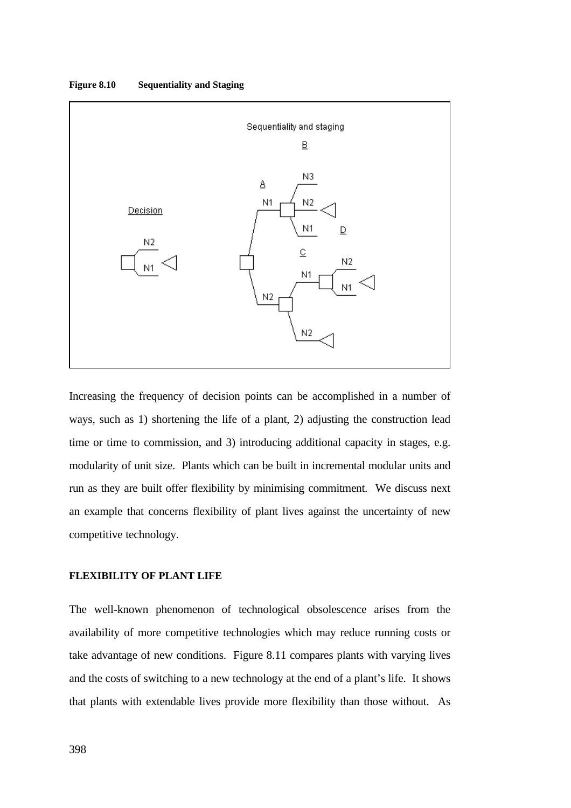**Figure 8.10 Sequentiality and Staging**



Increasing the frequency of decision points can be accomplished in a number of ways, such as 1) shortening the life of a plant, 2) adjusting the construction lead time or time to commission, and 3) introducing additional capacity in stages, e.g. modularity of unit size. Plants which can be built in incremental modular units and run as they are built offer flexibility by minimising commitment. We discuss next an example that concerns flexibility of plant lives against the uncertainty of new competitive technology.

## **FLEXIBILITY OF PLANT LIFE**

The well-known phenomenon of technological obsolescence arises from the availability of more competitive technologies which may reduce running costs or take advantage of new conditions. Figure 8.11 compares plants with varying lives and the costs of switching to a new technology at the end of a plant's life. It shows that plants with extendable lives provide more flexibility than those without. As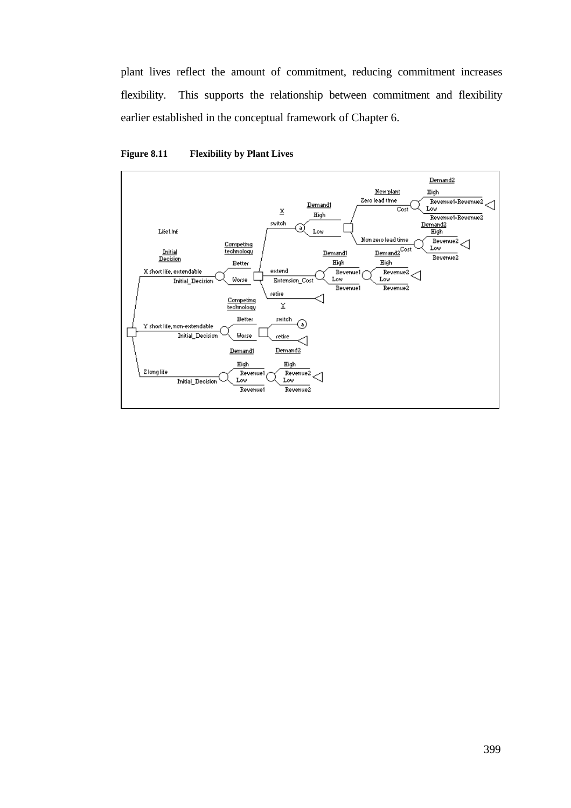plant lives reflect the amount of commitment, reducing commitment increases flexibility. This supports the relationship between commitment and flexibility earlier established in the conceptual framework of Chapter 6.



**Figure 8.11 Flexibility by Plant Lives**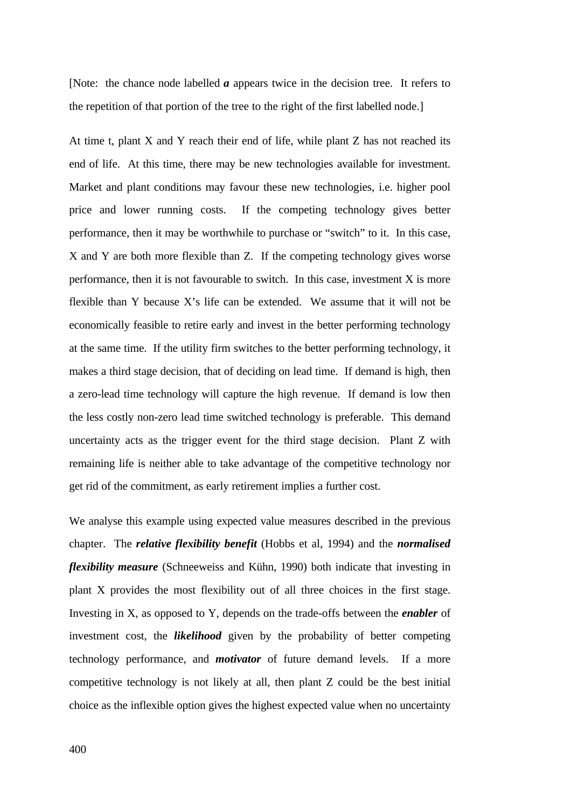[Note: the chance node labelled *a* appears twice in the decision tree. It refers to the repetition of that portion of the tree to the right of the first labelled node.]

At time t, plant X and Y reach their end of life, while plant Z has not reached its end of life. At this time, there may be new technologies available for investment. Market and plant conditions may favour these new technologies, i.e. higher pool price and lower running costs. If the competing technology gives better performance, then it may be worthwhile to purchase or "switch" to it. In this case, X and Y are both more flexible than Z. If the competing technology gives worse performance, then it is not favourable to switch. In this case, investment X is more flexible than Y because X's life can be extended. We assume that it will not be economically feasible to retire early and invest in the better performing technology at the same time. If the utility firm switches to the better performing technology, it makes a third stage decision, that of deciding on lead time. If demand is high, then a zero-lead time technology will capture the high revenue. If demand is low then the less costly non-zero lead time switched technology is preferable. This demand uncertainty acts as the trigger event for the third stage decision. Plant Z with remaining life is neither able to take advantage of the competitive technology nor get rid of the commitment, as early retirement implies a further cost.

We analyse this example using expected value measures described in the previous chapter. The *relative flexibility benefit* (Hobbs et al, 1994) and the *normalised flexibility measure* (Schneeweiss and Kühn, 1990) both indicate that investing in plant X provides the most flexibility out of all three choices in the first stage. Investing in X, as opposed to Y, depends on the trade-offs between the *enabler* of investment cost, the *likelihood* given by the probability of better competing technology performance, and *motivator* of future demand levels. If a more competitive technology is not likely at all, then plant Z could be the best initial choice as the inflexible option gives the highest expected value when no uncertainty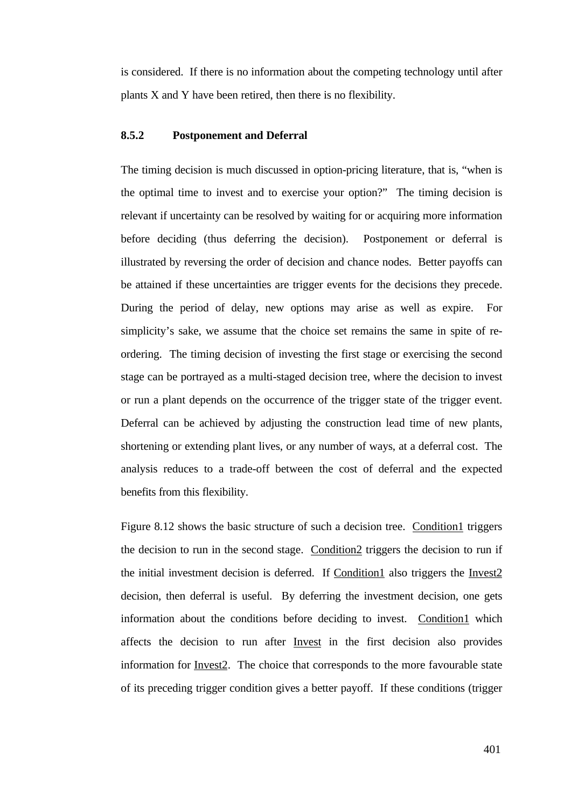is considered. If there is no information about the competing technology until after plants X and Y have been retired, then there is no flexibility.

# **8.5.2 Postponement and Deferral**

The timing decision is much discussed in option-pricing literature, that is, "when is the optimal time to invest and to exercise your option?" The timing decision is relevant if uncertainty can be resolved by waiting for or acquiring more information before deciding (thus deferring the decision). Postponement or deferral is illustrated by reversing the order of decision and chance nodes. Better payoffs can be attained if these uncertainties are trigger events for the decisions they precede. During the period of delay, new options may arise as well as expire. For simplicity's sake, we assume that the choice set remains the same in spite of reordering. The timing decision of investing the first stage or exercising the second stage can be portrayed as a multi-staged decision tree, where the decision to invest or run a plant depends on the occurrence of the trigger state of the trigger event. Deferral can be achieved by adjusting the construction lead time of new plants, shortening or extending plant lives, or any number of ways, at a deferral cost. The analysis reduces to a trade-off between the cost of deferral and the expected benefits from this flexibility.

Figure 8.12 shows the basic structure of such a decision tree. Condition1 triggers the decision to run in the second stage. Condition2 triggers the decision to run if the initial investment decision is deferred. If Condition1 also triggers the Invest2 decision, then deferral is useful. By deferring the investment decision, one gets information about the conditions before deciding to invest. Condition1 which affects the decision to run after Invest in the first decision also provides information for Invest2. The choice that corresponds to the more favourable state of its preceding trigger condition gives a better payoff. If these conditions (trigger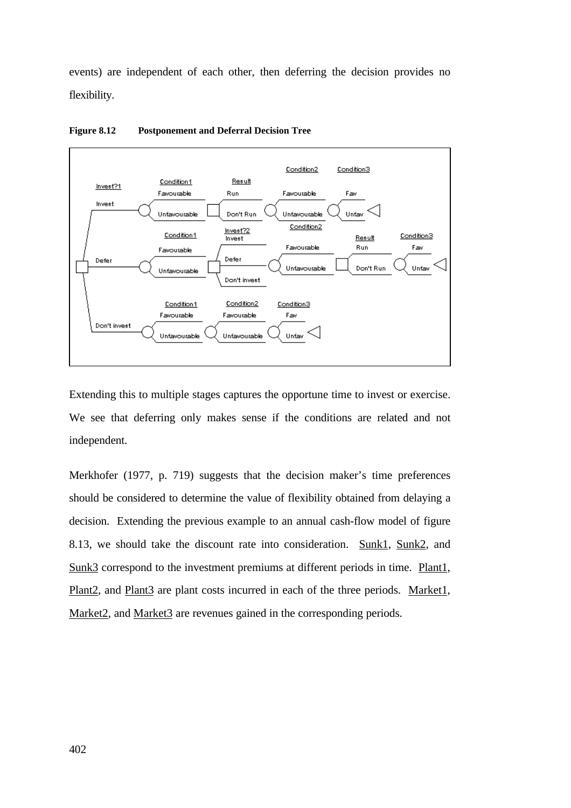events) are independent of each other, then deferring the decision provides no flexibility.



**Figure 8.12 Postponement and Deferral Decision Tree**

Extending this to multiple stages captures the opportune time to invest or exercise. We see that deferring only makes sense if the conditions are related and not independent.

Merkhofer (1977, p. 719) suggests that the decision maker's time preferences should be considered to determine the value of flexibility obtained from delaying a decision. Extending the previous example to an annual cash-flow model of figure 8.13, we should take the discount rate into consideration. Sunk1, Sunk2, and Sunk3 correspond to the investment premiums at different periods in time. Plant1, Plant2, and Plant3 are plant costs incurred in each of the three periods. Market1, Market2, and Market3 are revenues gained in the corresponding periods.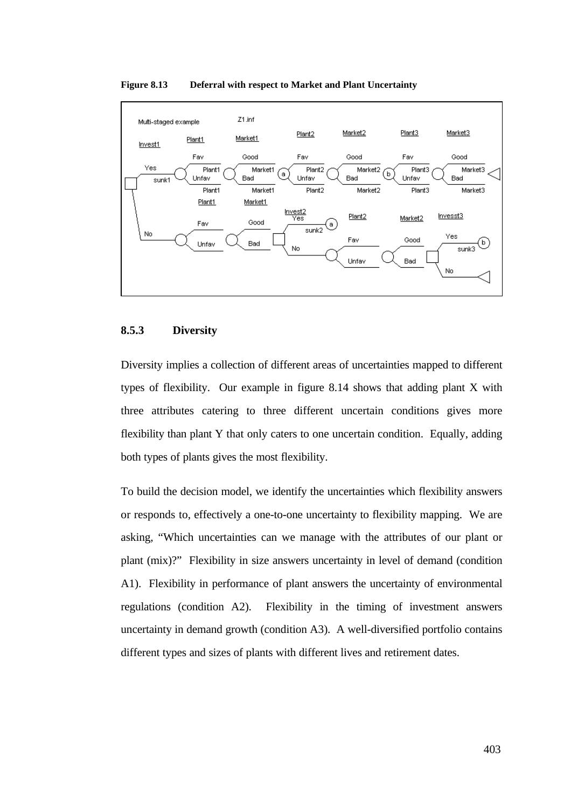

#### **Figure 8.13 Deferral with respect to Market and Plant Uncertainty**

# **8.5.3 Diversity**

Diversity implies a collection of different areas of uncertainties mapped to different types of flexibility. Our example in figure 8.14 shows that adding plant X with three attributes catering to three different uncertain conditions gives more flexibility than plant Y that only caters to one uncertain condition. Equally, adding both types of plants gives the most flexibility.

To build the decision model, we identify the uncertainties which flexibility answers or responds to, effectively a one-to-one uncertainty to flexibility mapping. We are asking, "Which uncertainties can we manage with the attributes of our plant or plant (mix)?" Flexibility in size answers uncertainty in level of demand (condition A1). Flexibility in performance of plant answers the uncertainty of environmental regulations (condition A2). Flexibility in the timing of investment answers uncertainty in demand growth (condition A3). A well-diversified portfolio contains different types and sizes of plants with different lives and retirement dates.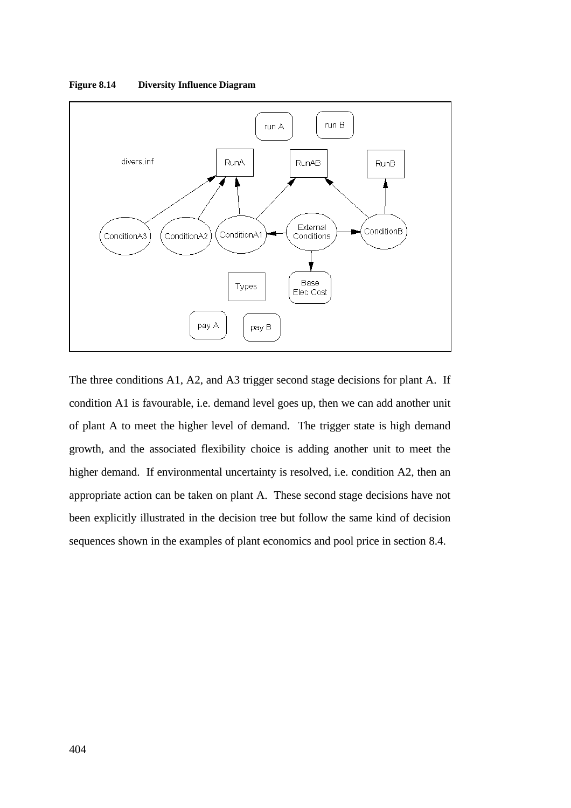

**Figure 8.14 Diversity Influence Diagram**

The three conditions A1, A2, and A3 trigger second stage decisions for plant A. If condition A1 is favourable, i.e. demand level goes up, then we can add another unit of plant A to meet the higher level of demand. The trigger state is high demand growth, and the associated flexibility choice is adding another unit to meet the higher demand. If environmental uncertainty is resolved, i.e. condition A2, then an appropriate action can be taken on plant A. These second stage decisions have not been explicitly illustrated in the decision tree but follow the same kind of decision sequences shown in the examples of plant economics and pool price in section 8.4.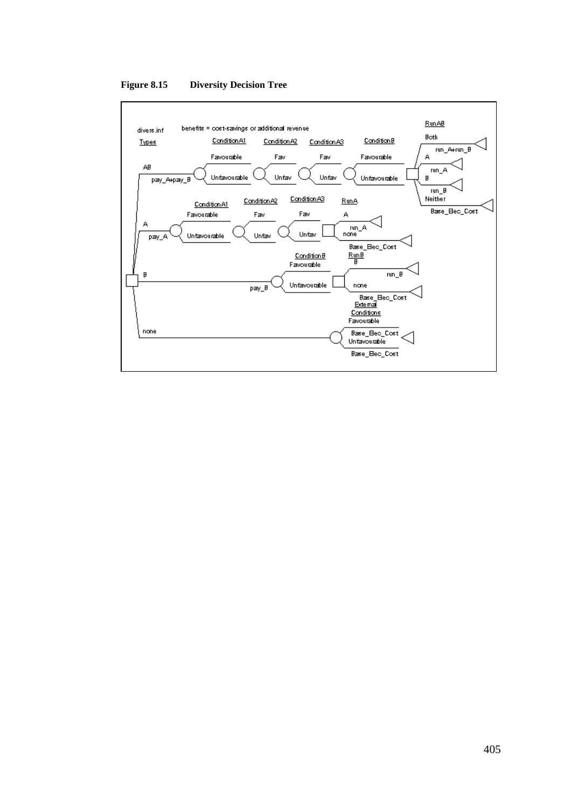

**Figure 8.15 Diversity Decision Tree**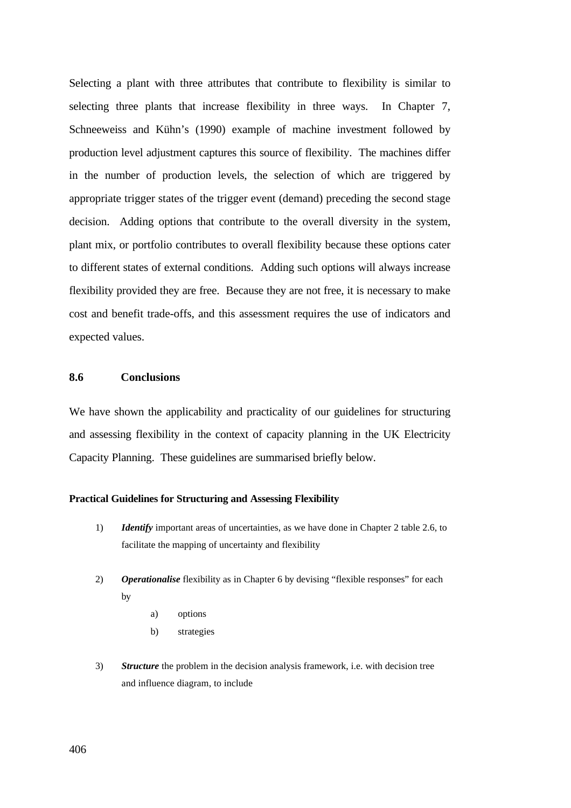Selecting a plant with three attributes that contribute to flexibility is similar to selecting three plants that increase flexibility in three ways. In Chapter 7, Schneeweiss and Kühn's (1990) example of machine investment followed by production level adjustment captures this source of flexibility. The machines differ in the number of production levels, the selection of which are triggered by appropriate trigger states of the trigger event (demand) preceding the second stage decision. Adding options that contribute to the overall diversity in the system, plant mix, or portfolio contributes to overall flexibility because these options cater to different states of external conditions. Adding such options will always increase flexibility provided they are free. Because they are not free, it is necessary to make cost and benefit trade-offs, and this assessment requires the use of indicators and expected values.

#### **8.6 Conclusions**

We have shown the applicability and practicality of our guidelines for structuring and assessing flexibility in the context of capacity planning in the UK Electricity Capacity Planning. These guidelines are summarised briefly below.

### **Practical Guidelines for Structuring and Assessing Flexibility**

- 1) *Identify* important areas of uncertainties, as we have done in Chapter 2 table 2.6, to facilitate the mapping of uncertainty and flexibility
- 2) *Operationalise* flexibility as in Chapter 6 by devising "flexible responses" for each by
	- a) options
	- b) strategies
- 3) *Structure* the problem in the decision analysis framework, i.e. with decision tree and influence diagram, to include